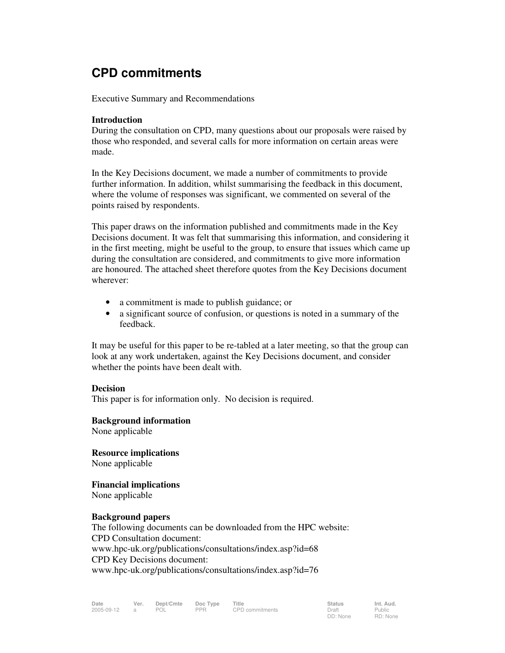## **CPD commitments**

Executive Summary and Recommendations

### **Introduction**

During the consultation on CPD, many questions about our proposals were raised by those who responded, and several calls for more information on certain areas were made.

In the Key Decisions document, we made a number of commitments to provide further information. In addition, whilst summarising the feedback in this document, where the volume of responses was significant, we commented on several of the points raised by respondents.

This paper draws on the information published and commitments made in the Key Decisions document. It was felt that summarising this information, and considering it in the first meeting, might be useful to the group, to ensure that issues which came up during the consultation are considered, and commitments to give more information are honoured. The attached sheet therefore quotes from the Key Decisions document wherever:

- a commitment is made to publish guidance; or
- a significant source of confusion, or questions is noted in a summary of the feedback.

It may be useful for this paper to be re-tabled at a later meeting, so that the group can look at any work undertaken, against the Key Decisions document, and consider whether the points have been dealt with.

#### **Decision**

This paper is for information only. No decision is required.

#### **Background information**

None applicable

**Resource implications**  None applicable

**Financial implications** 

None applicable

### **Background papers**

The following documents can be downloaded from the HPC website: CPD Consultation document: www.hpc-uk.org/publications/consultations/index.asp?id=68 CPD Key Decisions document: www.hpc-uk.org/publications/consultations/index.asp?id=76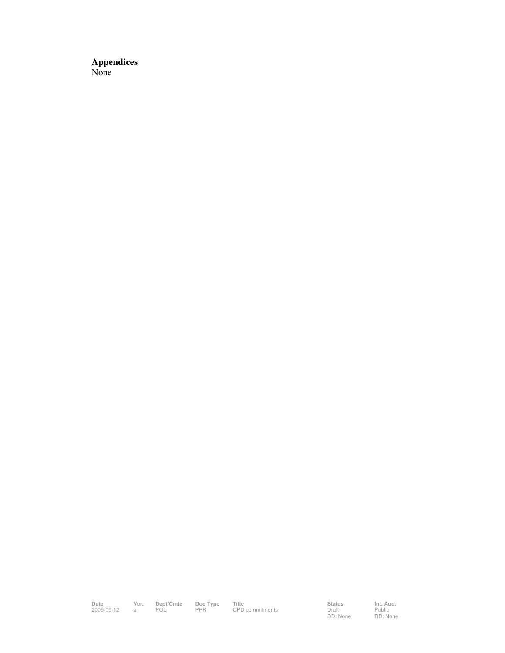**Appendices**  None

**Date Ver. Dept/Cmte Doc Type Title Status Int. Aud.** 2005-09-12 a POL PPR CPD commitments Draft

Status<br>Draft<br>DD: None

Public RD: None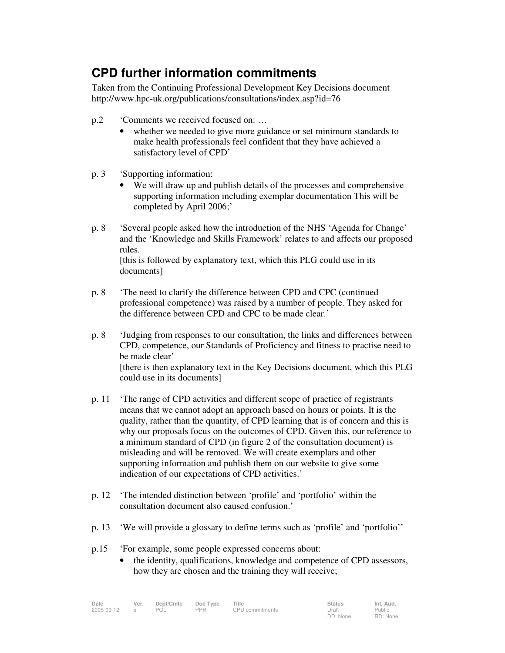# **CPD further information commitments**

Taken from the Continuing Professional Development Key Decisions document http://www.hpc-uk.org/publications/consultations/index.asp?id=76

- p.2 'Comments we received focused on: …
	- whether we needed to give more guidance or set minimum standards to make health professionals feel confident that they have achieved a satisfactory level of CPD'
- p. 3 'Supporting information:
	- We will draw up and publish details of the processes and comprehensive supporting information including exemplar documentation This will be completed by April 2006;'
- p. 8 'Several people asked how the introduction of the NHS 'Agenda for Change' and the 'Knowledge and Skills Framework' relates to and affects our proposed rules.

 [this is followed by explanatory text, which this PLG could use in its documents]

- p. 8 'The need to clarify the difference between CPD and CPC (continued professional competence) was raised by a number of people. They asked for the difference between CPD and CPC to be made clear.'
- p. 8 'Judging from responses to our consultation, the links and differences between CPD, competence, our Standards of Proficiency and fitness to practise need to be made clear' [there is then explanatory text in the Key Decisions document, which this PLG could use in its documents]
- p. 11 'The range of CPD activities and different scope of practice of registrants means that we cannot adopt an approach based on hours or points. It is the quality, rather than the quantity, of CPD learning that is of concern and this is why our proposals focus on the outcomes of CPD. Given this, our reference to a minimum standard of CPD (in figure 2 of the consultation document) is misleading and will be removed. We will create exemplars and other supporting information and publish them on our website to give some indication of our expectations of CPD activities.'
- p. 12 'The intended distinction between 'profile' and 'portfolio' within the consultation document also caused confusion.'
- p. 13 'We will provide a glossary to define terms such as 'profile' and 'portfolio''
- p.15 'For example, some people expressed concerns about:
	- the identity, qualifications, knowledge and competence of CPD assessors, how they are chosen and the training they will receive;